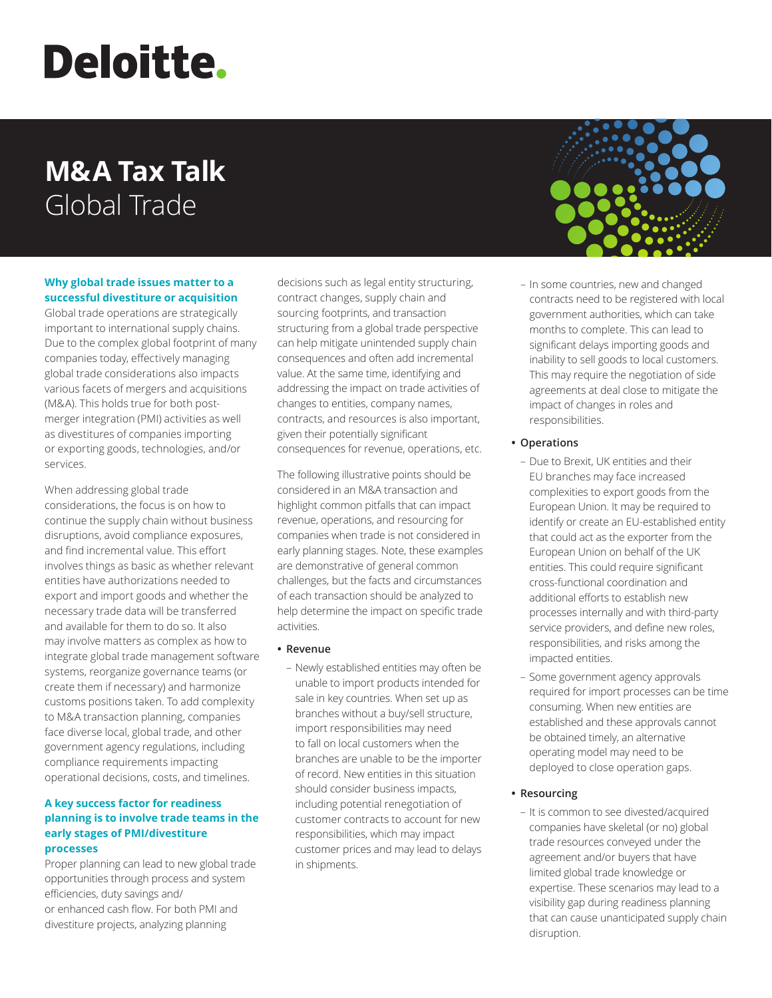# **Deloitte.**

# **M&A Tax Talk**  Global Trade

#### **Why global trade issues matter to a successful divestiture or acquisition**

Global trade operations are strategically important to international supply chains. Due to the complex global footprint of many companies today, effectively managing global trade considerations also impacts various facets of mergers and acquisitions (M&A). This holds true for both postmerger integration (PMI) activities as well as divestitures of companies importing or exporting goods, technologies, and/or services.

When addressing global trade considerations, the focus is on how to continue the supply chain without business disruptions, avoid compliance exposures, and find incremental value. This effort involves things as basic as whether relevant entities have authorizations needed to export and import goods and whether the necessary trade data will be transferred and available for them to do so. It also may involve matters as complex as how to integrate global trade management software systems, reorganize governance teams (or create them if necessary) and harmonize customs positions taken. To add complexity to M&A transaction planning, companies face diverse local, global trade, and other government agency regulations, including compliance requirements impacting operational decisions, costs, and timelines.

# **A key success factor for readiness planning is to involve trade teams in the early stages of PMI/divestiture processes**

Proper planning can lead to new global trade opportunities through process and system efficiencies, duty savings and/ or enhanced cash flow. For both PMI and divestiture projects, analyzing planning

decisions such as legal entity structuring, contract changes, supply chain and sourcing footprints, and transaction structuring from a global trade perspective can help mitigate unintended supply chain consequences and often add incremental value. At the same time, identifying and addressing the impact on trade activities of changes to entities, company names, contracts, and resources is also important, given their potentially significant consequences for revenue, operations, etc.

The following illustrative points should be considered in an M&A transaction and highlight common pitfalls that can impact revenue, operations, and resourcing for companies when trade is not considered in early planning stages. Note, these examples are demonstrative of general common challenges, but the facts and circumstances of each transaction should be analyzed to help determine the impact on specific trade activities.

## **• Revenue**

– Newly established entities may often be unable to import products intended for sale in key countries. When set up as branches without a buy/sell structure, import responsibilities may need to fall on local customers when the branches are unable to be the importer of record. New entities in this situation should consider business impacts, including potential renegotiation of customer contracts to account for new responsibilities, which may impact customer prices and may lead to delays in shipments.



– In some countries, new and changed contracts need to be registered with local government authorities, which can take months to complete. This can lead to significant delays importing goods and inability to sell goods to local customers. This may require the negotiation of side agreements at deal close to mitigate the impact of changes in roles and responsibilities.

## **• Operations**

- Due to Brexit, UK entities and their EU branches may face increased complexities to export goods from the European Union. It may be required to identify or create an EU-established entity that could act as the exporter from the European Union on behalf of the UK entities. This could require significant cross-functional coordination and additional efforts to establish new processes internally and with third-party service providers, and define new roles, responsibilities, and risks among the impacted entities.
- Some government agency approvals required for import processes can be time consuming. When new entities are established and these approvals cannot be obtained timely, an alternative operating model may need to be deployed to close operation gaps.

# **• Resourcing**

– It is common to see divested/acquired companies have skeletal (or no) global trade resources conveyed under the agreement and/or buyers that have limited global trade knowledge or expertise. These scenarios may lead to a visibility gap during readiness planning that can cause unanticipated supply chain disruption.